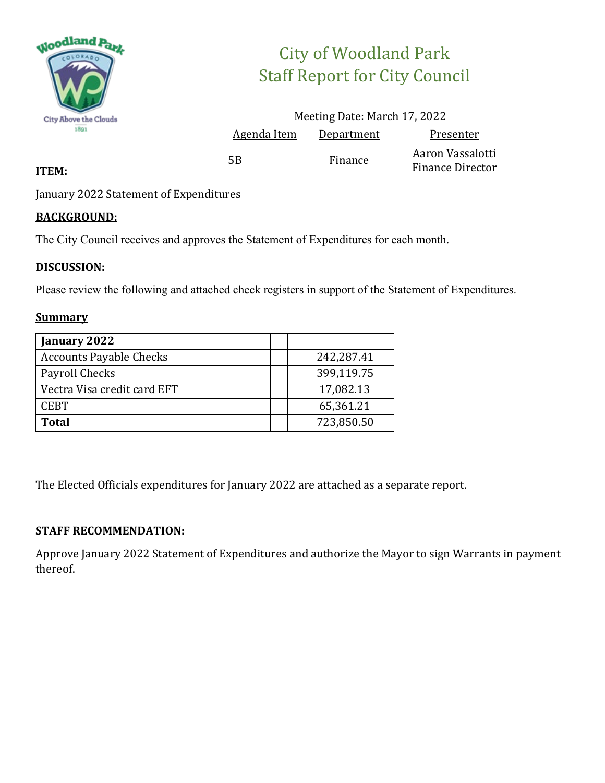

# City of Woodland Park Staff Report for City Council

|    |                    | Meeting Date: March 17, 2022 |                                             |
|----|--------------------|------------------------------|---------------------------------------------|
|    | <b>Agenda Item</b> | <u>Department</u>            | Presenter                                   |
| 5B |                    | Finance                      | Aaron Vassalotti<br><b>Finance Director</b> |

#### **ITEM:**

January 2022 Statement of Expenditures

### **BACKGROUND:**

The City Council receives and approves the Statement of Expenditures for each month.

### **DISCUSSION:**

Please review the following and attached check registers in support of the Statement of Expenditures.

#### **Summary**

| January 2022                   |            |
|--------------------------------|------------|
| <b>Accounts Payable Checks</b> | 242,287.41 |
| Payroll Checks                 | 399,119.75 |
| Vectra Visa credit card EFT    | 17,082.13  |
| <b>CEBT</b>                    | 65,361.21  |
| <b>Total</b>                   | 723,850.50 |

The Elected Officials expenditures for January 2022 are attached as a separate report.

#### **STAFF RECOMMENDATION:**

Approve January 2022 Statement of Expenditures and authorize the Mayor to sign Warrants in payment thereof.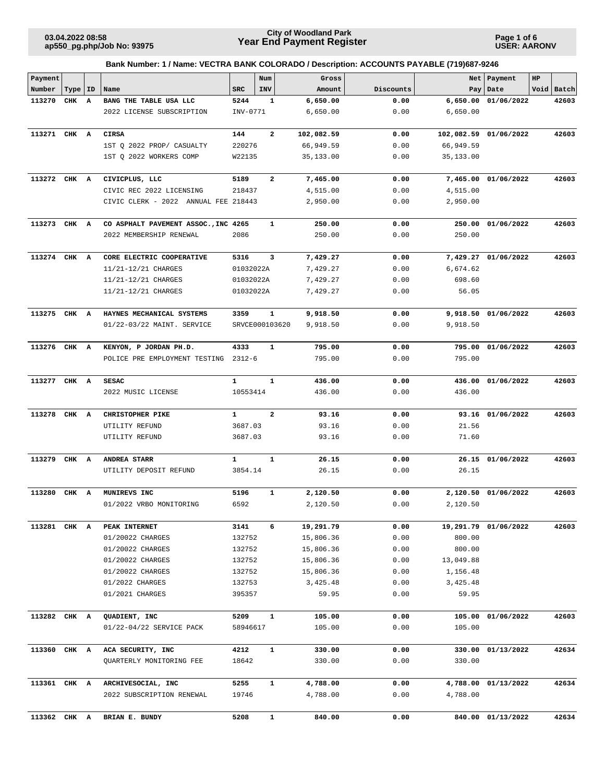**Page 1 of 6 USER: AARONV**

| Payment      |           |                         |                                      |              | Num            | Gross      |           |            | Net   Payment        | HP |            |
|--------------|-----------|-------------------------|--------------------------------------|--------------|----------------|------------|-----------|------------|----------------------|----|------------|
| Number       | Type   ID |                         | Name                                 | <b>SRC</b>   | INV            | Amount     | Discounts |            | Pay   Date           |    | Void Batch |
| 113270       | CHK       | A                       | BANG THE TABLE USA LLC               | 5244         | 1              | 6,650.00   | 0.00      | 6,650.00   | 01/06/2022           |    | 42603      |
|              |           |                         | 2022 LICENSE SUBSCRIPTION            | INV-0771     |                | 6,650.00   | 0.00      | 6,650.00   |                      |    |            |
| 113271 CHK A |           |                         | <b>CIRSA</b>                         | 144          | $\mathbf{2}$   | 102,082.59 | 0.00      | 102,082.59 | 01/06/2022           |    | 42603      |
|              |           |                         | 1ST Q 2022 PROP/ CASUALTY            | 220276       |                | 66,949.59  | 0.00      | 66,949.59  |                      |    |            |
|              |           |                         | 1ST Q 2022 WORKERS COMP              | W22135       |                | 35,133.00  | 0.00      | 35,133.00  |                      |    |            |
| 113272 CHK A |           |                         | CIVICPLUS, LLC                       | 5189         | 2              | 7,465.00   | 0.00      | 7,465.00   | 01/06/2022           |    | 42603      |
|              |           |                         | CIVIC REC 2022 LICENSING             | 218437       |                | 4,515.00   | 0.00      | 4,515.00   |                      |    |            |
|              |           |                         | CIVIC CLERK - 2022 ANNUAL FEE 218443 |              |                | 2,950.00   | 0.00      | 2,950.00   |                      |    |            |
| 113273 CHK A |           |                         | CO ASPHALT PAVEMENT ASSOC., INC 4265 |              | 1              | 250.00     | 0.00      | 250.00     | 01/06/2022           |    | 42603      |
|              |           |                         | 2022 MEMBERSHIP RENEWAL              | 2086         |                | 250.00     | 0.00      | 250.00     |                      |    |            |
| 113274       | CHK       | A                       | CORE ELECTRIC COOPERATIVE            | 5316         | 3              | 7,429.27   | 0.00      | 7,429.27   | 01/06/2022           |    | 42603      |
|              |           |                         | 11/21-12/21 CHARGES                  | 01032022A    |                | 7,429.27   | 0.00      | 6,674.62   |                      |    |            |
|              |           |                         | 11/21-12/21 CHARGES                  | 01032022A    |                | 7,429.27   | 0.00      | 698.60     |                      |    |            |
|              |           |                         | 11/21-12/21 CHARGES                  | 01032022A    |                | 7,429.27   | 0.00      | 56.05      |                      |    |            |
|              |           |                         |                                      |              |                |            |           |            |                      |    |            |
| 113275 CHK A |           |                         | HAYNES MECHANICAL SYSTEMS            | 3359         | $\mathbf{1}$   | 9,918.50   | 0.00      |            | 9,918.50 01/06/2022  |    | 42603      |
|              |           |                         | 01/22-03/22 MAINT. SERVICE           |              | SRVCE000103620 | 9,918.50   | 0.00      | 9,918.50   |                      |    |            |
| 113276 CHK A |           |                         | KENYON, P JORDAN PH.D.               | 4333         | $\mathbf{1}$   | 795.00     | 0.00      | 795.00     | 01/06/2022           |    | 42603      |
|              |           |                         | POLICE PRE EMPLOYMENT TESTING        | $2312 - 6$   |                | 795.00     | 0.00      | 795.00     |                      |    |            |
| 113277 CHK A |           |                         | <b>SESAC</b>                         | $\mathbf{1}$ | $\mathbf{1}$   | 436.00     | 0.00      | 436.00     | 01/06/2022           |    | 42603      |
|              |           |                         | 2022 MUSIC LICENSE                   | 10553414     |                | 436.00     | 0.00      | 436.00     |                      |    |            |
| 113278       | CHK       | $\overline{\mathbf{A}}$ | CHRISTOPHER PIKE                     | $\mathbf{1}$ | $\overline{2}$ | 93.16      | 0.00      |            | 93.16 01/06/2022     |    | 42603      |
|              |           |                         | UTILITY REFUND                       | 3687.03      |                | 93.16      | 0.00      | 21.56      |                      |    |            |
|              |           |                         | UTILITY REFUND                       | 3687.03      |                | 93.16      | 0.00      | 71.60      |                      |    |            |
| 113279       | CHK A     |                         | ANDREA STARR                         | $\mathbf{1}$ | $\mathbf{1}$   | 26.15      | 0.00      |            | 26.15 01/06/2022     |    | 42603      |
|              |           |                         | UTILITY DEPOSIT REFUND               | 3854.14      |                | 26.15      | 0.00      | 26.15      |                      |    |            |
| 113280       | CHK A     |                         | MUNIREVS INC                         | 5196         | 1              | 2,120.50   | 0.00      | 2,120.50   | 01/06/2022           |    | 42603      |
|              |           |                         | 01/2022 VRBO MONITORING              | 6592         |                | 2,120.50   | 0.00      | 2,120.50   |                      |    |            |
| 113281 CHK A |           |                         | PEAK INTERNET                        | 3141         | 6              | 19,291.79  | 0.00      |            | 19,291.79 01/06/2022 |    | 42603      |
|              |           |                         | 01/20022 CHARGES                     | 132752       |                | 15,806.36  | 0.00      | 800.00     |                      |    |            |
|              |           |                         | 01/20022 CHARGES                     | 132752       |                | 15,806.36  | 0.00      | 800.00     |                      |    |            |
|              |           |                         | 01/20022 CHARGES                     | 132752       |                | 15,806.36  | 0.00      | 13,049.88  |                      |    |            |
|              |           |                         | 01/20022 CHARGES                     | 132752       |                | 15,806.36  | 0.00      | 1,156.48   |                      |    |            |
|              |           |                         | 01/2022 CHARGES                      | 132753       |                | 3,425.48   | 0.00      | 3,425.48   |                      |    |            |
|              |           |                         | 01/2021 CHARGES                      | 395357       |                | 59.95      | 0.00      | 59.95      |                      |    |            |
| 113282 CHK A |           |                         | QUADIENT, INC                        | 5209         | $\mathbf{1}$   | 105.00     | 0.00      |            | 105.00 01/06/2022    |    | 42603      |
|              |           |                         | 01/22-04/22 SERVICE PACK             | 58946617     |                | 105.00     | 0.00      | 105.00     |                      |    |            |
| 113360 CHK A |           |                         | ACA SECURITY, INC                    | 4212         | $\mathbf{1}$   | 330.00     | 0.00      | 330.00     | 01/13/2022           |    | 42634      |
|              |           |                         | QUARTERLY MONITORING FEE             | 18642        |                | 330.00     | 0.00      | 330.00     |                      |    |            |
| 113361 CHK A |           |                         | ARCHIVESOCIAL, INC                   | 5255         | $\mathbf{1}$   | 4,788.00   | 0.00      |            | 4,788.00 01/13/2022  |    | 42634      |
|              |           |                         | 2022 SUBSCRIPTION RENEWAL            | 19746        |                | 4,788.00   | 0.00      | 4,788.00   |                      |    |            |
| 113362 CHK A |           |                         | BRIAN E. BUNDY                       | 5208         | 1              | 840.00     | 0.00      |            | 840.00 01/13/2022    |    | 42634      |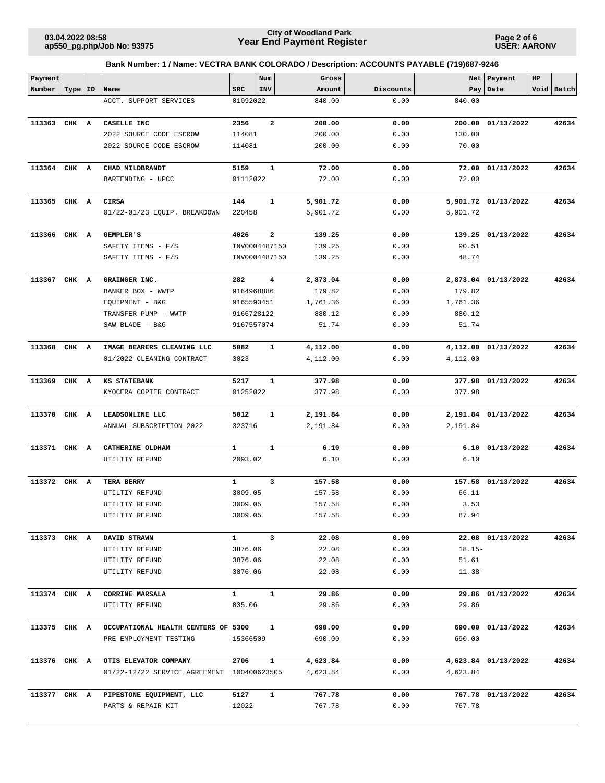**Page 2 of 6 USER: AARONV**

| Payment      |           |                                             |                   | Num                     | Gross                |              |          | Net   Payment       | HP |            |
|--------------|-----------|---------------------------------------------|-------------------|-------------------------|----------------------|--------------|----------|---------------------|----|------------|
| Number       | Type   ID | Name                                        | <b>SRC</b>        | <b>INV</b>              | Amount               | Discounts    |          | Pay   Date          |    | Void Batch |
|              |           | ACCT. SUPPORT SERVICES                      | 01092022          |                         | 840.00               | 0.00         | 840.00   |                     |    |            |
|              |           |                                             |                   |                         |                      |              |          |                     |    |            |
| 113363       | CHK A     | CASELLE INC                                 | 2356              | $\overline{\mathbf{2}}$ | 200.00               | 0.00         |          | 200.00 01/13/2022   |    | 42634      |
|              |           | 2022 SOURCE CODE ESCROW                     | 114081            |                         | 200.00               | 0.00         | 130.00   |                     |    |            |
|              |           | 2022 SOURCE CODE ESCROW                     | 114081            |                         | 200.00               | 0.00         | 70.00    |                     |    |            |
| 113364 CHK A |           | CHAD MILDBRANDT                             | 5159              | 1                       | 72.00                | 0.00         |          | 72.00 01/13/2022    |    | 42634      |
|              |           | BARTENDING - UPCC                           | 01112022          |                         | 72.00                | 0.00         | 72.00    |                     |    |            |
|              |           |                                             |                   |                         |                      |              |          |                     |    |            |
| 113365 CHK A |           | CIRSA                                       | 144               | 1                       | 5,901.72             | 0.00         |          | 5,901.72 01/13/2022 |    | 42634      |
|              |           | 01/22-01/23 EQUIP. BREAKDOWN                | 220458            |                         | 5,901.72             | 0.00         | 5,901.72 |                     |    |            |
| 113366 CHK A |           | <b>GEMPLER'S</b>                            | 4026              | $\overline{\mathbf{2}}$ | 139.25               | 0.00         |          | 139.25 01/13/2022   |    | 42634      |
|              |           | SAFETY ITEMS - F/S                          |                   | INV0004487150           | 139.25               | 0.00         | 90.51    |                     |    |            |
|              |           | SAFETY ITEMS - F/S                          |                   | INV0004487150           | 139.25               | 0.00         | 48.74    |                     |    |            |
|              |           |                                             |                   |                         |                      |              |          |                     |    |            |
| 113367 CHK A |           | GRAINGER INC.<br>BANKER BOX - WWTP          | 282<br>9164968886 | 4                       | 2,873.04<br>179.82   | 0.00<br>0.00 | 179.82   | 2,873.04 01/13/2022 |    | 42634      |
|              |           | EQUIPMENT - B&G                             | 9165593451        |                         | 1,761.36             | 0.00         | 1,761.36 |                     |    |            |
|              |           | TRANSFER PUMP - WWTP                        | 9166728122        |                         | 880.12               | 0.00         | 880.12   |                     |    |            |
|              |           | SAW BLADE - B&G                             | 9167557074        |                         | 51.74                | 0.00         | 51.74    |                     |    |            |
|              |           |                                             |                   |                         |                      |              |          |                     |    |            |
| 113368 CHK A |           | IMAGE BEARERS CLEANING LLC                  | 5082              | 1                       | 4,112.00             | 0.00         |          | 4,112.00 01/13/2022 |    | 42634      |
|              |           | 01/2022 CLEANING CONTRACT                   | 3023              |                         | 4,112.00             | 0.00         | 4,112.00 |                     |    |            |
| 113369       | CHK A     | KS STATEBANK                                | 5217              | 1                       | 377.98               | 0.00         |          | 377.98 01/13/2022   |    | 42634      |
|              |           | KYOCERA COPIER CONTRACT                     | 01252022          |                         | 377.98               | 0.00         | 377.98   |                     |    |            |
|              |           |                                             |                   |                         |                      |              |          |                     |    |            |
| 113370       | CHK A     | LEADSONLINE LLC<br>ANNUAL SUBSCRIPTION 2022 | 5012<br>323716    | 1                       | 2,191.84<br>2,191.84 | 0.00<br>0.00 | 2,191.84 | 2,191.84 01/13/2022 |    | 42634      |
|              |           |                                             |                   |                         |                      |              |          |                     |    |            |
| 113371 CHK A |           | CATHERINE OLDHAM                            | 1                 | $\mathbf{1}$            | 6.10                 | 0.00         |          | 6.10 01/13/2022     |    | 42634      |
|              |           | UTILITY REFUND                              | 2093.02           |                         | 6.10                 | 0.00         | 6.10     |                     |    |            |
|              |           |                                             |                   |                         |                      |              |          |                     |    |            |
| 113372 CHK A |           | TERA BERRY<br>UTILTIY REFUND                | 1<br>3009.05      | 3                       | 157.58<br>157.58     | 0.00<br>0.00 | 66.11    | 157.58 01/13/2022   |    | 42634      |
|              |           | UTILTIY REFUND                              | 3009.05           |                         | 157.58               | 0.00         | 3.53     |                     |    |            |
|              |           | UTILTIY REFUND                              | 3009.05           |                         | 157.58               | 0.00         | 87.94    |                     |    |            |
|              |           |                                             |                   |                         |                      |              |          |                     |    |            |
| 113373 CHK A |           | DAVID STRAWN                                | $\mathbf{1}$      | $\mathbf{3}$            | 22.08                | 0.00         |          | 22.08 01/13/2022    |    | 42634      |
|              |           | UTILITY REFUND                              | 3876.06           |                         | 22.08                | 0.00         | $18.15-$ |                     |    |            |
|              |           | UTILITY REFUND                              | 3876.06           |                         | 22.08                | 0.00         | 51.61    |                     |    |            |
|              |           | UTILITY REFUND                              | 3876.06           |                         | 22.08                | 0.00         | $11.38-$ |                     |    |            |
| 113374 CHK A |           | CORRINE MARSALA                             | $\mathbf{1}$      | $\mathbf{1}$            | 29.86                | 0.00         |          | 29.86 01/13/2022    |    | 42634      |
|              |           | UTILTIY REFUND                              | 835.06            |                         | 29.86                | 0.00         | 29.86    |                     |    |            |
|              |           |                                             |                   |                         |                      |              |          |                     |    |            |
| 113375 CHK A |           | OCCUPATIONAL HEALTH CENTERS OF 5300         |                   | $\mathbf{1}$            | 690.00               | 0.00         |          | 690.00 01/13/2022   |    | 42634      |
|              |           | PRE EMPLOYMENT TESTING                      | 15366509          |                         | 690.00               | 0.00         | 690.00   |                     |    |            |
| 113376 CHK A |           | OTIS ELEVATOR COMPANY                       | 2706              | $\mathbf{1}$            | 4,623.84             | 0.00         |          | 4,623.84 01/13/2022 |    | 42634      |
|              |           | 01/22-12/22 SERVICE AGREEMENT 100400623505  |                   |                         | 4,623.84             | 0.00         | 4,623.84 |                     |    |            |
| 113377 CHK A |           | PIPESTONE EQUIPMENT, LLC                    | 5127              | $\mathbf{1}$            | 767.78               | 0.00         |          | 767.78 01/13/2022   |    | 42634      |
|              |           | PARTS & REPAIR KIT                          | 12022             |                         | 767.78               | 0.00         | 767.78   |                     |    |            |
|              |           |                                             |                   |                         |                      |              |          |                     |    |            |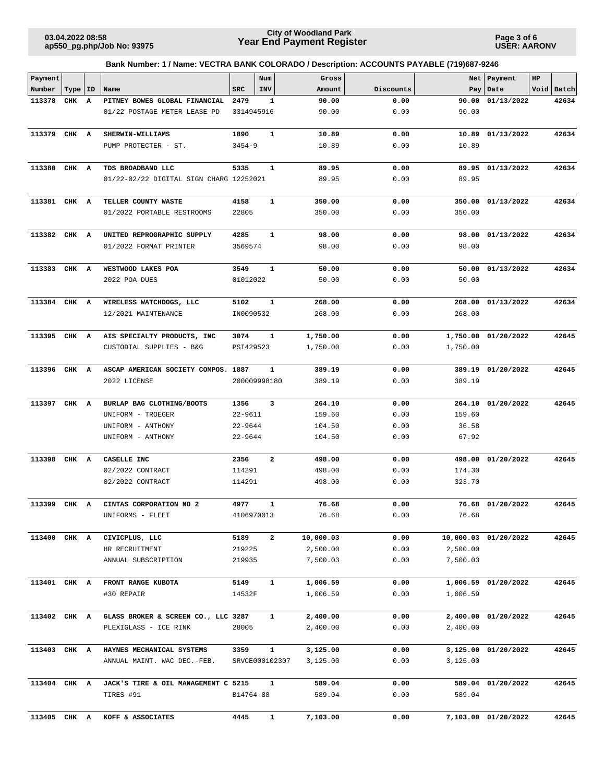**Page 3 of 6 USER: AARONV**

| Payment      |           |   |                                                         |                   | Num            | Gross                |              | Net                  | Payment              | HP |            |
|--------------|-----------|---|---------------------------------------------------------|-------------------|----------------|----------------------|--------------|----------------------|----------------------|----|------------|
| Number       | Type   ID |   | Name                                                    | <b>SRC</b>        | INV            | Amount               | Discounts    | Pay                  | Date                 |    | Void Batch |
| 113378       | CHK       | A | PITNEY BOWES GLOBAL FINANCIAL                           | 2479              | 1              | 90.00                | 0.00         | 90.00                | 01/13/2022           |    | 42634      |
|              |           |   | 01/22 POSTAGE METER LEASE-PD                            | 3314945916        |                | 90.00                | 0.00         | 90.00                |                      |    |            |
| 113379       | CHK A     |   | SHERWIN-WILLIAMS                                        | 1890              | $\mathbf{1}$   | 10.89                | 0.00         | 10.89                | 01/13/2022           |    | 42634      |
|              |           |   | PUMP PROTECTER - ST.                                    | $3454 - 9$        |                | 10.89                | 0.00         | 10.89                |                      |    |            |
|              |           |   |                                                         |                   |                |                      |              |                      |                      |    |            |
| 113380       | CHK A     |   | TDS BROADBAND LLC                                       | 5335              | $\mathbf{1}$   | 89.95                | 0.00         |                      | 89.95 01/13/2022     |    | 42634      |
|              |           |   | 01/22-02/22 DIGITAL SIGN CHARG 12252021                 |                   |                | 89.95                | 0.00         | 89.95                |                      |    |            |
|              |           |   |                                                         |                   |                |                      |              |                      |                      |    |            |
| 113381 CHK A |           |   | TELLER COUNTY WASTE                                     | 4158              | $\mathbf{1}$   | 350.00               | 0.00         | 350.00               | 01/13/2022           |    | 42634      |
|              |           |   | 01/2022 PORTABLE RESTROOMS                              | 22805             |                | 350.00               | 0.00         | 350.00               |                      |    |            |
|              |           |   |                                                         |                   |                |                      |              |                      |                      |    |            |
| 113382       | CHK A     |   | UNITED REPROGRAPHIC SUPPLY                              | 4285              | $\mathbf{1}$   | 98.00                | 0.00         | 98.00                | 01/13/2022           |    | 42634      |
|              |           |   | 01/2022 FORMAT PRINTER                                  | 3569574           |                | 98.00                | 0.00         | 98.00                |                      |    |            |
|              |           |   |                                                         |                   |                |                      |              |                      |                      |    |            |
| 113383       | CHK A     |   | WESTWOOD LAKES POA                                      | 3549              | $\mathbf{1}$   | 50.00                | 0.00         | 50.00                | 01/13/2022           |    | 42634      |
|              |           |   | 2022 POA DUES                                           | 01012022          |                | 50.00                | 0.00         | 50.00                |                      |    |            |
|              |           |   |                                                         |                   |                |                      |              |                      |                      |    |            |
| 113384       | CHK A     |   | WIRELESS WATCHDOGS, LLC                                 | 5102              | 1              | 268.00               | 0.00         |                      | 268.00 01/13/2022    |    | 42634      |
|              |           |   | 12/2021 MAINTENANCE                                     | IN0090532         |                | 268.00               | 0.00         | 268.00               |                      |    |            |
|              |           |   |                                                         |                   |                |                      |              |                      |                      |    |            |
| 113395       | CHK A     |   | AIS SPECIALTY PRODUCTS, INC<br>CUSTODIAL SUPPLIES - B&G | 3074<br>PSI429523 | 1              | 1,750.00<br>1,750.00 | 0.00<br>0.00 | 1,750.00<br>1,750.00 | 01/20/2022           |    | 42645      |
|              |           |   |                                                         |                   |                |                      |              |                      |                      |    |            |
| 113396       | CHK A     |   | ASCAP AMERICAN SOCIETY COMPOS. 1887                     |                   | $\mathbf{1}$   | 389.19               | 0.00         | 389.19               | 01/20/2022           |    | 42645      |
|              |           |   | 2022 LICENSE                                            |                   | 200009998180   | 389.19               | 0.00         | 389.19               |                      |    |            |
|              |           |   |                                                         |                   |                |                      |              |                      |                      |    |            |
| 113397       | CHK A     |   | BURLAP BAG CLOTHING/BOOTS                               | 1356              | 3              | 264.10               | 0.00         | 264.10               | 01/20/2022           |    | 42645      |
|              |           |   | UNIFORM - TROEGER                                       | $22 - 9611$       |                | 159.60               | 0.00         | 159.60               |                      |    |            |
|              |           |   | UNIFORM - ANTHONY                                       | $22 - 9644$       |                | 104.50               | 0.00         | 36.58                |                      |    |            |
|              |           |   | UNIFORM - ANTHONY                                       | $22 - 9644$       |                | 104.50               | 0.00         | 67.92                |                      |    |            |
|              |           |   |                                                         |                   |                |                      |              |                      |                      |    |            |
| 113398       | CHK       | A | CASELLE INC                                             | 2356              | $\mathbf{2}$   | 498.00               | 0.00         | 498.00               | 01/20/2022           |    | 42645      |
|              |           |   | 02/2022 CONTRACT                                        | 114291            |                | 498.00               | 0.00         | 174.30               |                      |    |            |
|              |           |   | 02/2022 CONTRACT                                        | 114291            |                | 498.00               | 0.00         | 323.70               |                      |    |            |
|              |           |   |                                                         |                   |                |                      |              |                      |                      |    |            |
| 113399 CHK A |           |   | CINTAS CORPORATION NO 2                                 | 4977              | 1              | 76.68                | 0.00         |                      | 76.68 01/20/2022     |    | 42645      |
|              |           |   | UNIFORMS - FLEET                                        | 4106970013        |                | 76.68                | 0.00         | 76.68                |                      |    |            |
| 113400 CHK A |           |   | CIVICPLUS, LLC                                          | 5189              | $\mathbf{2}$   | 10,000.03            | 0.00         |                      | 10,000.03 01/20/2022 |    | 42645      |
|              |           |   | HR RECRUITMENT                                          | 219225            |                | 2,500.00             | 0.00         | 2,500.00             |                      |    |            |
|              |           |   | ANNUAL SUBSCRIPTION                                     | 219935            |                | 7,500.03             | 0.00         | 7,500.03             |                      |    |            |
|              |           |   |                                                         |                   |                |                      |              |                      |                      |    |            |
| 113401 CHK A |           |   | FRONT RANGE KUBOTA                                      | 5149              | $\mathbf{1}$   | 1,006.59             | 0.00         |                      | 1,006.59 01/20/2022  |    | 42645      |
|              |           |   | #30 REPAIR                                              | 14532F            |                | 1,006.59             | 0.00         | 1,006.59             |                      |    |            |
|              |           |   |                                                         |                   |                |                      |              |                      |                      |    |            |
| 113402 CHK A |           |   | GLASS BROKER & SCREEN CO., LLC 3287                     |                   | 1              | 2,400.00             | 0.00         |                      | 2,400.00 01/20/2022  |    | 42645      |
|              |           |   | PLEXIGLASS - ICE RINK                                   | 28005             |                | 2,400.00             | 0.00         | 2,400.00             |                      |    |            |
|              |           |   |                                                         |                   |                |                      |              |                      |                      |    |            |
| 113403 CHK A |           |   | HAYNES MECHANICAL SYSTEMS                               | 3359              | $\mathbf{1}$   | 3,125.00             | 0.00         |                      | 3,125.00 01/20/2022  |    | 42645      |
|              |           |   | ANNUAL MAINT. WAC DEC.-FEB.                             |                   | SRVCE000102307 | 3,125.00             | 0.00         | 3,125.00             |                      |    |            |
|              |           |   |                                                         |                   |                |                      |              |                      |                      |    |            |
| 113404 CHK A |           |   | JACK'S TIRE & OIL MANAGEMENT C 5215                     |                   | 1              | 589.04               | 0.00         |                      | 589.04 01/20/2022    |    | 42645      |
|              |           |   | TIRES #91                                               | B14764-88         |                | 589.04               | 0.00         | 589.04               |                      |    |            |
|              |           |   |                                                         |                   | $\mathbf{1}$   |                      | 0.00         |                      |                      |    | 42645      |
| 113405       | CHK A     |   | KOFF & ASSOCIATES                                       | 4445              |                | 7,103.00             |              |                      | 7,103.00 01/20/2022  |    |            |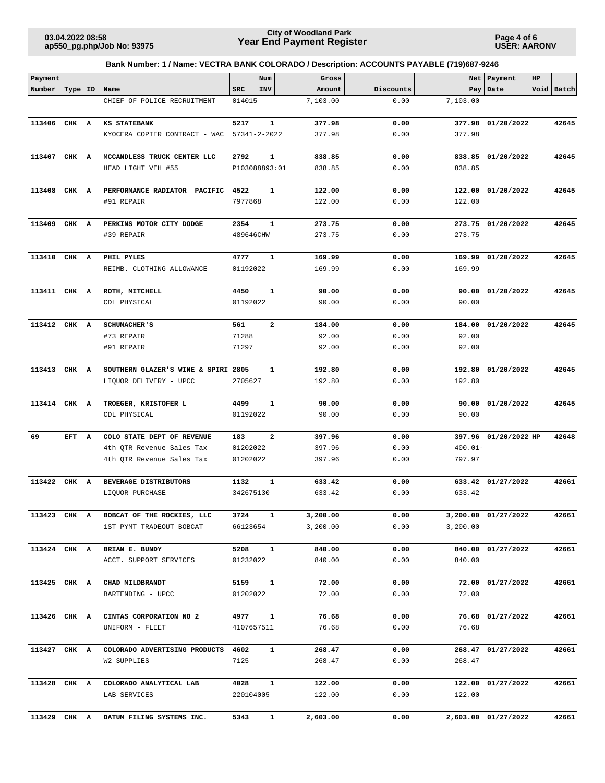**Page 4 of 6 USER: AARONV**

| Payment      |           |   |                                         |               | Num          | Gross    |           |            | Net   Payment        | HP |            |
|--------------|-----------|---|-----------------------------------------|---------------|--------------|----------|-----------|------------|----------------------|----|------------|
| Number       | Type   ID |   | Name                                    | <b>SRC</b>    | INV          | Amount   | Discounts |            | Pay Date             |    | Void Batch |
|              |           |   | CHIEF OF POLICE RECRUITMENT             | 014015        |              | 7,103.00 | 0.00      | 7,103.00   |                      |    |            |
| 113406       | CHK A     |   | KS STATEBANK                            | 5217          | $\mathbf 1$  | 377.98   | 0.00      | 377.98     | 01/20/2022           |    | 42645      |
|              |           |   | KYOCERA COPIER CONTRACT - WAC           | 57341-2-2022  |              | 377.98   | 0.00      | 377.98     |                      |    |            |
| 113407       | CHK A     |   | MCCANDLESS TRUCK CENTER LLC             | 2792          | $\mathbf{1}$ | 838.85   | 0.00      | 838.85     | 01/20/2022           |    | 42645      |
|              |           |   | HEAD LIGHT VEH #55                      | P103088893:01 |              | 838.85   | 0.00      | 838.85     |                      |    |            |
| 113408       | CHK A     |   | PERFORMANCE RADIATOR PACIFIC            | 4522          | 1            | 122.00   | 0.00      |            | 122.00 01/20/2022    |    | 42645      |
|              |           |   | #91 REPAIR                              | 7977868       |              | 122.00   | 0.00      | 122.00     |                      |    |            |
| 113409       | CHK A     |   | PERKINS MOTOR CITY DODGE                | 2354          | $\mathbf 1$  | 273.75   | 0.00      |            | 273.75 01/20/2022    |    | 42645      |
|              |           |   | #39 REPAIR                              | 489646CHW     |              | 273.75   | 0.00      | 273.75     |                      |    |            |
| 113410       | CHK A     |   | PHIL PYLES                              | 4777          | $\mathbf 1$  | 169.99   | 0.00      |            | 169.99 01/20/2022    |    | 42645      |
|              |           |   | REIMB. CLOTHING ALLOWANCE               | 01192022      |              | 169.99   | 0.00      | 169.99     |                      |    |            |
| 113411 CHK A |           |   | ROTH, MITCHELL                          | 4450          | 1            | 90.00    | 0.00      |            | 90.00 01/20/2022     |    | 42645      |
|              |           |   | CDL PHYSICAL                            | 01192022      |              | 90.00    | 0.00      | 90.00      |                      |    |            |
| 113412       | CHK A     |   | <b>SCHUMACHER'S</b>                     | 561           | $\mathbf{2}$ | 184.00   | 0.00      | 184.00     | 01/20/2022           |    | 42645      |
|              |           |   | #73 REPAIR                              | 71288         |              | 92.00    | 0.00      | 92.00      |                      |    |            |
|              |           |   | #91 REPAIR                              | 71297         |              | 92.00    | 0.00      | 92.00      |                      |    |            |
| 113413       | CHK A     |   | SOUTHERN GLAZER'S WINE & SPIRI 2805     |               | 1            | 192.80   | 0.00      | 192.80     | 01/20/2022           |    | 42645      |
|              |           |   | LIQUOR DELIVERY - UPCC                  | 2705627       |              | 192.80   | 0.00      | 192.80     |                      |    |            |
| 113414 CHK A |           |   | TROEGER, KRISTOFER L                    | 4499          | $\mathbf{1}$ | 90.00    | 0.00      | 90.00      | 01/20/2022           |    | 42645      |
|              |           |   | CDL PHYSICAL                            | 01192022      |              | 90.00    | 0.00      | 90.00      |                      |    |            |
| 69           | EFT       | A | COLO STATE DEPT OF REVENUE              | 183           | $\mathbf{2}$ | 397.96   | 0.00      |            | 397.96 01/20/2022 HP |    | 42648      |
|              |           |   | 4th QTR Revenue Sales Tax               | 01202022      |              | 397.96   | 0.00      | $400.01 -$ |                      |    |            |
|              |           |   | 4th QTR Revenue Sales Tax               | 01202022      |              | 397.96   | 0.00      | 797.97     |                      |    |            |
| 113422       | CHK A     |   | BEVERAGE DISTRIBUTORS                   | 1132          | $\mathbf 1$  | 633.42   | 0.00      |            | 633.42 01/27/2022    |    | 42661      |
|              |           |   | LIQUOR PURCHASE                         | 342675130     |              | 633.42   | 0.00      | 633.42     |                      |    |            |
|              |           |   | 113423 CHK A BOBCAT OF THE ROCKIES, LLC | 3724 1        |              | 3,200.00 | 0.00      |            | 3,200.00 01/27/2022  |    | 42661      |
|              |           |   | 1ST PYMT TRADEOUT BOBCAT                | 66123654      |              | 3,200.00 | 0.00      | 3,200.00   |                      |    |            |
| 113424 CHK A |           |   | BRIAN E. BUNDY                          | 5208          | $\mathbf{1}$ | 840.00   | 0.00      |            | 840.00 01/27/2022    |    | 42661      |
|              |           |   | ACCT. SUPPORT SERVICES                  | 01232022      |              | 840.00   | 0.00      | 840.00     |                      |    |            |
| 113425 CHK A |           |   | CHAD MILDBRANDT                         | 5159          | $\mathbf{1}$ | 72.00    | 0.00      |            | 72.00 01/27/2022     |    | 42661      |
|              |           |   | BARTENDING - UPCC                       | 01202022      |              | 72.00    | 0.00      | 72.00      |                      |    |            |
| 113426 CHK A |           |   | CINTAS CORPORATION NO 2                 | 4977          | $\mathbf{1}$ | 76.68    | 0.00      |            | 76.68 01/27/2022     |    | 42661      |
|              |           |   | UNIFORM - FLEET                         | 4107657511    |              | 76.68    | 0.00      | 76.68      |                      |    |            |
| 113427 CHK A |           |   | COLORADO ADVERTISING PRODUCTS           | 4602          | $\mathbf{1}$ | 268.47   | 0.00      |            | 268.47 01/27/2022    |    | 42661      |
|              |           |   | W2 SUPPLIES                             | 7125          |              | 268.47   | 0.00      | 268.47     |                      |    |            |
| 113428 CHK A |           |   | COLORADO ANALYTICAL LAB                 | 4028          | $\mathbf{1}$ | 122.00   | 0.00      |            | 122.00 01/27/2022    |    | 42661      |
|              |           |   | LAB SERVICES                            | 220104005     |              | 122.00   | 0.00      | 122.00     |                      |    |            |
| 113429 CHK A |           |   | DATUM FILING SYSTEMS INC.               | 5343          | $\mathbf{1}$ | 2,603.00 | 0.00      |            | 2,603.00 01/27/2022  |    | 42661      |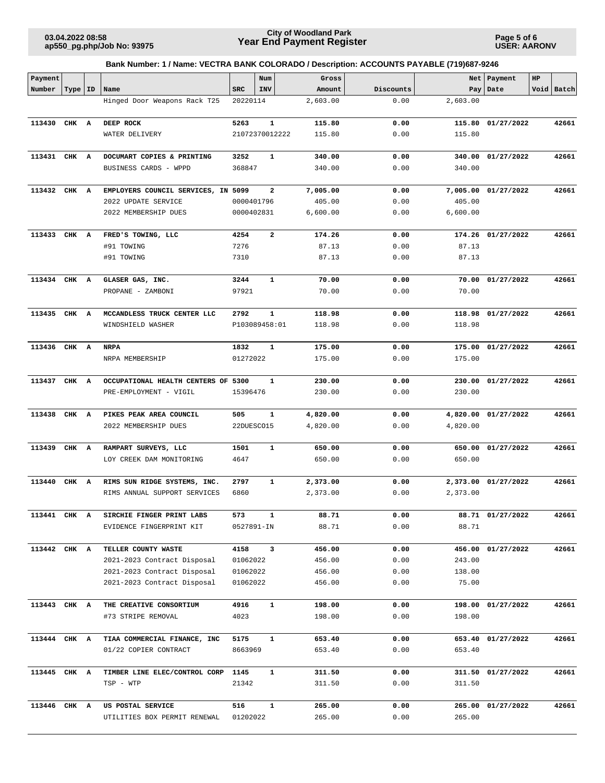**Page 5 of 6 USER: AARONV**

| Payment      |           |                                                              |              | Num            | Gross                |              |          | Net   Payment       | $_{\rm HP}$ |            |
|--------------|-----------|--------------------------------------------------------------|--------------|----------------|----------------------|--------------|----------|---------------------|-------------|------------|
| Number       | Type   ID | Name                                                         | <b>SRC</b>   | INV            | Amount               | Discounts    |          | Pay   Date          |             | Void Batch |
|              |           | Hinged Door Weapons Rack T25                                 | 20220114     |                | 2,603.00             | 0.00         | 2,603.00 |                     |             |            |
| 113430       | CHK A     | DEEP ROCK                                                    | 5263         | ${\bf 1}$      | 115.80               | 0.00         | 115.80   | 01/27/2022          |             | 42661      |
|              |           | WATER DELIVERY                                               |              | 21072370012222 | 115.80               | 0.00         | 115.80   |                     |             |            |
|              |           |                                                              |              |                |                      |              |          |                     |             |            |
| 113431 CHK A |           | DOCUMART COPIES & PRINTING                                   | 3252         | 1              | 340.00               | 0.00         | 340.00   | 01/27/2022          |             | 42661      |
|              |           | BUSINESS CARDS - WPPD                                        | 368847       |                | 340.00               | 0.00         | 340.00   |                     |             |            |
|              |           |                                                              |              |                |                      |              |          |                     |             |            |
| 113432 CHK A |           | EMPLOYERS COUNCIL SERVICES, IN 5099                          |              | 2              | 7,005.00             | 0.00         |          | 7,005.00 01/27/2022 |             | 42661      |
|              |           | 2022 UPDATE SERVICE                                          | 0000401796   |                | 405.00               | 0.00         | 405.00   |                     |             |            |
|              |           | 2022 MEMBERSHIP DUES                                         | 0000402831   |                | 6,600.00             | 0.00         | 6,600.00 |                     |             |            |
|              |           |                                                              |              |                |                      |              |          |                     |             |            |
| 113433       | CHK A     | FRED'S TOWING, LLC                                           | 4254         | 2              | 174.26               | 0.00         |          | 174.26 01/27/2022   |             | 42661      |
|              |           | #91 TOWING                                                   | 7276         |                | 87.13                | 0.00         | 87.13    |                     |             |            |
|              |           | #91 TOWING                                                   | 7310         |                | 87.13                | 0.00         | 87.13    |                     |             |            |
| 113434 CHK A |           | GLASER GAS, INC.                                             | 3244         | 1              | 70.00                | 0.00         | 70.00    | 01/27/2022          |             | 42661      |
|              |           | PROPANE - ZAMBONI                                            | 97921        |                | 70.00                | 0.00         | 70.00    |                     |             |            |
|              |           |                                                              |              |                |                      |              |          |                     |             |            |
| 113435 CHK A |           | MCCANDLESS TRUCK CENTER LLC                                  | 2792         | $\mathbf{1}$   | 118.98               | 0.00         | 118.98   | 01/27/2022          |             | 42661      |
|              |           | WINDSHIELD WASHER                                            |              | P103089458:01  | 118.98               | 0.00         | 118.98   |                     |             |            |
|              |           |                                                              |              |                |                      |              |          |                     |             |            |
| 113436 CHK A |           | <b>NRPA</b>                                                  | 1832         | $\mathbf{1}$   | 175.00               | 0.00         | 175.00   | 01/27/2022          |             | 42661      |
|              |           | NRPA MEMBERSHIP                                              | 01272022     |                | 175.00               | 0.00         | 175.00   |                     |             |            |
|              |           |                                                              |              |                |                      |              |          |                     |             |            |
| 113437       | CHK A     | OCCUPATIONAL HEALTH CENTERS OF 5300                          |              | 1              | 230.00               | 0.00         | 230.00   | 01/27/2022          |             | 42661      |
|              |           | PRE-EMPLOYMENT - VIGIL                                       | 15396476     |                | 230.00               | 0.00         | 230.00   |                     |             |            |
|              |           |                                                              |              |                |                      |              |          |                     |             |            |
| 113438       | CHK A     | PIKES PEAK AREA COUNCIL                                      | 505          | $\mathbf{1}$   | 4,820.00             | 0.00         | 4,820.00 | 01/27/2022          |             | 42661      |
|              |           | 2022 MEMBERSHIP DUES                                         | 22DUESCO15   |                | 4,820.00             | 0.00         | 4,820.00 |                     |             |            |
|              |           |                                                              |              |                |                      |              |          |                     |             |            |
| 113439       | CHK A     | RAMPART SURVEYS, LLC                                         | 1501         | $\mathbf{1}$   | 650.00               | 0.00         |          | 650.00 01/27/2022   |             | 42661      |
|              |           | LOY CREEK DAM MONITORING                                     | 4647         |                | 650.00               | 0.00         | 650.00   |                     |             |            |
|              | CHK A     |                                                              |              |                |                      |              |          |                     |             | 42661      |
| 113440       |           | RIMS SUN RIDGE SYSTEMS, INC.<br>RIMS ANNUAL SUPPORT SERVICES | 2797<br>6860 | 1              | 2,373.00<br>2,373.00 | 0.00<br>0.00 | 2,373.00 | 2,373.00 01/27/2022 |             |            |
|              |           |                                                              |              |                |                      |              |          |                     |             |            |
| 113441 CHK A |           | SIRCHIE FINGER PRINT LABS                                    | 573          | $\mathbf{1}$   | 88.71                | 0.00         |          | 88.71 01/27/2022    |             | 42661      |
|              |           | EVIDENCE FINGERPRINT KIT                                     | 0527891-IN   |                | 88.71                | 0.00         | 88.71    |                     |             |            |
|              |           |                                                              |              |                |                      |              |          |                     |             |            |
| 113442 CHK A |           | TELLER COUNTY WASTE                                          | 4158         | $\mathbf{3}$   | 456.00               | 0.00         |          | 456.00 01/27/2022   |             | 42661      |
|              |           | 2021-2023 Contract Disposal                                  | 01062022     |                | 456.00               | 0.00         | 243.00   |                     |             |            |
|              |           | 2021-2023 Contract Disposal                                  | 01062022     |                | 456.00               | 0.00         | 138.00   |                     |             |            |
|              |           | 2021-2023 Contract Disposal                                  | 01062022     |                | 456.00               | 0.00         | 75.00    |                     |             |            |
|              |           |                                                              |              |                |                      |              |          |                     |             |            |
| 113443 CHK A |           | THE CREATIVE CONSORTIUM                                      | 4916         | $\mathbf{1}$   | 198.00               | 0.00         |          | 198.00 01/27/2022   |             | 42661      |
|              |           | #73 STRIPE REMOVAL                                           | 4023         |                | 198.00               | 0.00         | 198.00   |                     |             |            |
|              |           |                                                              |              |                |                      |              |          |                     |             |            |
| 113444 CHK A |           | TIAA COMMERCIAL FINANCE, INC                                 | 5175         | $\mathbf{1}$   | 653.40               | 0.00         |          | 653.40 01/27/2022   |             | 42661      |
|              |           | 01/22 COPIER CONTRACT                                        | 8663969      |                | 653.40               | 0.00         | 653.40   |                     |             |            |
|              |           | TIMBER LINE ELEC/CONTROL CORP                                | 1145         | 1              |                      | 0.00         |          |                     |             | 42661      |
| 113445 CHK A |           | TSP - WTP                                                    | 21342        |                | 311.50<br>311.50     | 0.00         | 311.50   | 311.50 01/27/2022   |             |            |
|              |           |                                                              |              |                |                      |              |          |                     |             |            |
| 113446 CHK A |           | US POSTAL SERVICE                                            | 516          | $\mathbf{1}$   | 265.00               | 0.00         |          | 265.00 01/27/2022   |             | 42661      |
|              |           | UTILITIES BOX PERMIT RENEWAL                                 | 01202022     |                | 265.00               | 0.00         | 265.00   |                     |             |            |
|              |           |                                                              |              |                |                      |              |          |                     |             |            |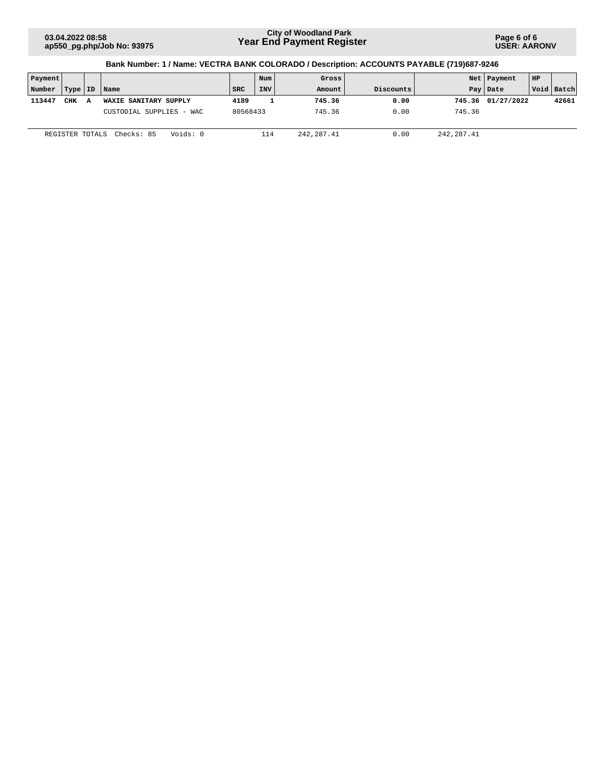**Page 6 of 6 USER: AARONV**

| Payment |                 |   |                          |            | Num        | Gross      |           |             | Net   Payment     | HP |              |
|---------|-----------------|---|--------------------------|------------|------------|------------|-----------|-------------|-------------------|----|--------------|
| Number  | Type   ID       |   | Name                     | <b>SRC</b> | <b>INV</b> | Amount     | Discounts |             | Pay Date          |    | Void   Batch |
| 113447  | <b>CHK</b>      | Α | WAXIE SANITARY SUPPLY    | 4189       |            | 745.36     | 0.00      |             | 745.36 01/27/2022 |    | 42661        |
|         |                 |   | CUSTODIAL SUPPLIES - WAC | 80568433   |            | 745.36     | 0.00      | 745.36      |                   |    |              |
|         | REGISTER TOTALS |   | Voids: 0<br>Checks: 85   |            | 114        | 242,287.41 | 0.00      | 242, 287.41 |                   |    |              |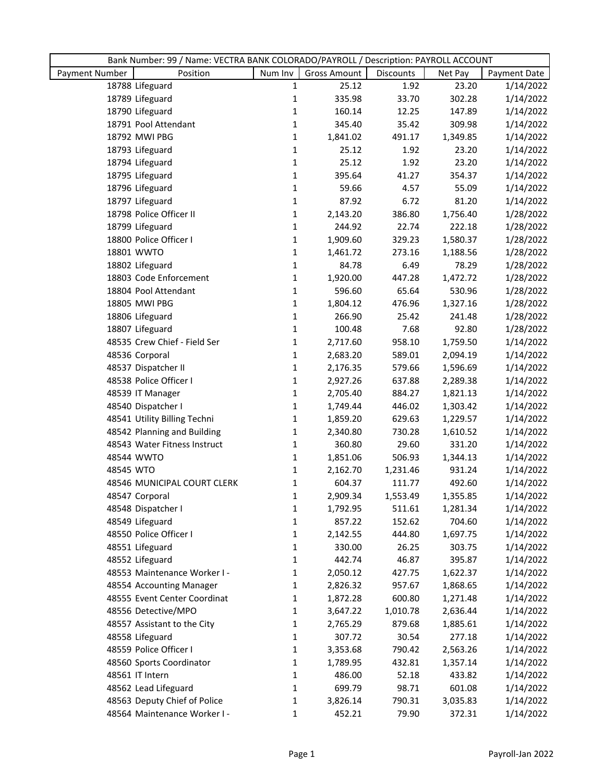|                |                              | Bank Number: 99 / Name: VECTRA BANK COLORADO/PAYROLL / Description: PAYROLL ACCOUNT |                     |           |          |              |  |  |
|----------------|------------------------------|-------------------------------------------------------------------------------------|---------------------|-----------|----------|--------------|--|--|
| Payment Number | Position                     | Num Inv                                                                             | <b>Gross Amount</b> | Discounts | Net Pay  | Payment Date |  |  |
|                | 18788 Lifeguard              | $\mathbf{1}$                                                                        | 25.12               | 1.92      | 23.20    | 1/14/2022    |  |  |
|                | 18789 Lifeguard              | 1                                                                                   | 335.98              | 33.70     | 302.28   | 1/14/2022    |  |  |
|                | 18790 Lifeguard              | 1                                                                                   | 160.14              | 12.25     | 147.89   | 1/14/2022    |  |  |
|                | 18791 Pool Attendant         | 1                                                                                   | 345.40              | 35.42     | 309.98   | 1/14/2022    |  |  |
|                | 18792 MWI PBG                | $\mathbf 1$                                                                         | 1,841.02            | 491.17    | 1,349.85 | 1/14/2022    |  |  |
|                | 18793 Lifeguard              | $\mathbf{1}$                                                                        | 25.12               | 1.92      | 23.20    | 1/14/2022    |  |  |
|                | 18794 Lifeguard              | $\mathbf{1}$                                                                        | 25.12               | 1.92      | 23.20    | 1/14/2022    |  |  |
|                | 18795 Lifeguard              | 1                                                                                   | 395.64              | 41.27     | 354.37   | 1/14/2022    |  |  |
|                | 18796 Lifeguard              | 1                                                                                   | 59.66               | 4.57      | 55.09    | 1/14/2022    |  |  |
|                | 18797 Lifeguard              | $\mathbf 1$                                                                         | 87.92               | 6.72      | 81.20    | 1/14/2022    |  |  |
|                | 18798 Police Officer II      | $\mathbf 1$                                                                         | 2,143.20            | 386.80    | 1,756.40 | 1/28/2022    |  |  |
|                | 18799 Lifeguard              | $\mathbf{1}$                                                                        | 244.92              | 22.74     | 222.18   | 1/28/2022    |  |  |
|                | 18800 Police Officer I       | $\mathbf{1}$                                                                        | 1,909.60            | 329.23    | 1,580.37 | 1/28/2022    |  |  |
|                | 18801 WWTO                   | $\mathbf{1}$                                                                        | 1,461.72            | 273.16    | 1,188.56 | 1/28/2022    |  |  |
|                | 18802 Lifeguard              | $\mathbf{1}$                                                                        | 84.78               | 6.49      | 78.29    | 1/28/2022    |  |  |
|                | 18803 Code Enforcement       | $\mathbf 1$                                                                         | 1,920.00            | 447.28    | 1,472.72 | 1/28/2022    |  |  |
|                | 18804 Pool Attendant         | $\mathbf{1}$                                                                        | 596.60              | 65.64     | 530.96   | 1/28/2022    |  |  |
|                | 18805 MWI PBG                | $\mathbf{1}$                                                                        | 1,804.12            | 476.96    | 1,327.16 | 1/28/2022    |  |  |
|                | 18806 Lifeguard              | $\mathbf{1}$                                                                        | 266.90              | 25.42     | 241.48   | 1/28/2022    |  |  |
|                | 18807 Lifeguard              | $\mathbf{1}$                                                                        | 100.48              | 7.68      | 92.80    | 1/28/2022    |  |  |
|                | 48535 Crew Chief - Field Ser | $\mathbf{1}$                                                                        | 2,717.60            | 958.10    | 1,759.50 | 1/14/2022    |  |  |
|                | 48536 Corporal               | $\mathbf{1}$                                                                        | 2,683.20            | 589.01    | 2,094.19 | 1/14/2022    |  |  |
|                | 48537 Dispatcher II          | $\mathbf 1$                                                                         | 2,176.35            | 579.66    | 1,596.69 | 1/14/2022    |  |  |
|                | 48538 Police Officer I       | 1                                                                                   | 2,927.26            | 637.88    | 2,289.38 | 1/14/2022    |  |  |
|                | 48539 IT Manager             | $\mathbf{1}$                                                                        | 2,705.40            | 884.27    | 1,821.13 | 1/14/2022    |  |  |
|                | 48540 Dispatcher I           | $\mathbf{1}$                                                                        | 1,749.44            | 446.02    | 1,303.42 | 1/14/2022    |  |  |
|                | 48541 Utility Billing Techni | $\mathbf{1}$                                                                        | 1,859.20            | 629.63    | 1,229.57 | 1/14/2022    |  |  |
|                | 48542 Planning and Building  | $\mathbf{1}$                                                                        | 2,340.80            | 730.28    | 1,610.52 | 1/14/2022    |  |  |
|                | 48543 Water Fitness Instruct | $\mathbf 1$                                                                         | 360.80              | 29.60     | 331.20   | 1/14/2022    |  |  |
|                | 48544 WWTO                   | 1                                                                                   | 1,851.06            | 506.93    | 1,344.13 | 1/14/2022    |  |  |
| 48545 WTO      |                              | $\mathbf{1}$                                                                        | 2,162.70            | 1,231.46  | 931.24   | 1/14/2022    |  |  |
|                | 48546 MUNICIPAL COURT CLERK  | 1                                                                                   | 604.37              | 111.77    | 492.60   | 1/14/2022    |  |  |
|                | 48547 Corporal               | 1                                                                                   | 2,909.34            | 1,553.49  | 1,355.85 | 1/14/2022    |  |  |
|                | 48548 Dispatcher I           | 1                                                                                   | 1,792.95            | 511.61    | 1,281.34 | 1/14/2022    |  |  |
|                | 48549 Lifeguard              | $\mathbf 1$                                                                         | 857.22              | 152.62    | 704.60   | 1/14/2022    |  |  |
|                | 48550 Police Officer I       | 1                                                                                   | 2,142.55            | 444.80    | 1,697.75 | 1/14/2022    |  |  |
|                | 48551 Lifeguard              | 1                                                                                   | 330.00              | 26.25     | 303.75   | 1/14/2022    |  |  |
|                | 48552 Lifeguard              | $\mathbf{1}$                                                                        | 442.74              | 46.87     | 395.87   | 1/14/2022    |  |  |
|                | 48553 Maintenance Worker I - | 1                                                                                   | 2,050.12            | 427.75    | 1,622.37 | 1/14/2022    |  |  |
|                | 48554 Accounting Manager     | 1                                                                                   | 2,826.32            | 957.67    | 1,868.65 | 1/14/2022    |  |  |
|                | 48555 Event Center Coordinat | 1                                                                                   | 1,872.28            | 600.80    | 1,271.48 | 1/14/2022    |  |  |
|                | 48556 Detective/MPO          | 1                                                                                   | 3,647.22            | 1,010.78  | 2,636.44 | 1/14/2022    |  |  |
|                | 48557 Assistant to the City  | 1                                                                                   | 2,765.29            | 879.68    | 1,885.61 | 1/14/2022    |  |  |
|                | 48558 Lifeguard              | $\mathbf{1}$                                                                        | 307.72              | 30.54     | 277.18   | 1/14/2022    |  |  |
|                | 48559 Police Officer I       | 1                                                                                   | 3,353.68            | 790.42    | 2,563.26 | 1/14/2022    |  |  |
|                | 48560 Sports Coordinator     | $\mathbf{1}$                                                                        | 1,789.95            | 432.81    | 1,357.14 | 1/14/2022    |  |  |
|                | 48561 IT Intern              | $\mathbf{1}$                                                                        | 486.00              | 52.18     | 433.82   | 1/14/2022    |  |  |
|                | 48562 Lead Lifeguard         | 1                                                                                   | 699.79              | 98.71     | 601.08   | 1/14/2022    |  |  |
|                | 48563 Deputy Chief of Police | $\mathbf{1}$                                                                        | 3,826.14            | 790.31    | 3,035.83 | 1/14/2022    |  |  |
|                | 48564 Maintenance Worker I - | 1                                                                                   | 452.21              | 79.90     | 372.31   | 1/14/2022    |  |  |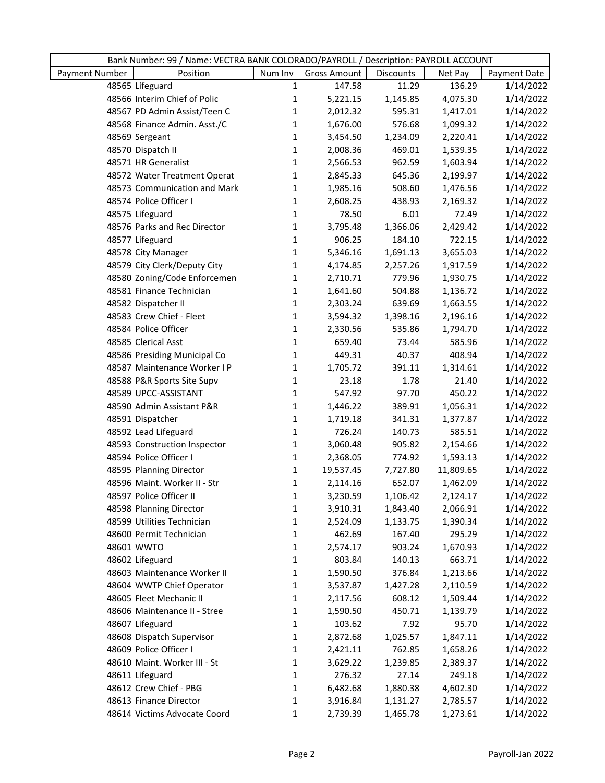|                | Bank Number: 99 / Name: VECTRA BANK COLORADO/PAYROLL / Description: PAYROLL ACCOUNT |              |                     |           |           |              |
|----------------|-------------------------------------------------------------------------------------|--------------|---------------------|-----------|-----------|--------------|
| Payment Number | Position                                                                            | Num Inv      | <b>Gross Amount</b> | Discounts | Net Pay   | Payment Date |
|                | 48565 Lifeguard                                                                     | 1            | 147.58              | 11.29     | 136.29    | 1/14/2022    |
|                | 48566 Interim Chief of Polic                                                        | $\mathbf{1}$ | 5,221.15            | 1,145.85  | 4,075.30  | 1/14/2022    |
|                | 48567 PD Admin Assist/Teen C                                                        | $\mathbf{1}$ | 2,012.32            | 595.31    | 1,417.01  | 1/14/2022    |
|                | 48568 Finance Admin. Asst./C                                                        | $\mathbf{1}$ | 1,676.00            | 576.68    | 1,099.32  | 1/14/2022    |
|                | 48569 Sergeant                                                                      | 1            | 3,454.50            | 1,234.09  | 2,220.41  | 1/14/2022    |
|                | 48570 Dispatch II                                                                   | 1            | 2,008.36            | 469.01    | 1,539.35  | 1/14/2022    |
|                | 48571 HR Generalist                                                                 | 1            | 2,566.53            | 962.59    | 1,603.94  | 1/14/2022    |
|                | 48572 Water Treatment Operat                                                        | $\mathbf{1}$ | 2,845.33            | 645.36    | 2,199.97  | 1/14/2022    |
|                | 48573 Communication and Mark                                                        | 1            | 1,985.16            | 508.60    | 1,476.56  | 1/14/2022    |
|                | 48574 Police Officer I                                                              | 1            | 2,608.25            | 438.93    | 2,169.32  | 1/14/2022    |
|                | 48575 Lifeguard                                                                     | 1            | 78.50               | 6.01      | 72.49     | 1/14/2022    |
|                | 48576 Parks and Rec Director                                                        | $\mathbf 1$  | 3,795.48            | 1,366.06  | 2,429.42  | 1/14/2022    |
|                | 48577 Lifeguard                                                                     | $\mathbf{1}$ | 906.25              | 184.10    | 722.15    | 1/14/2022    |
|                | 48578 City Manager                                                                  | $\mathbf{1}$ | 5,346.16            | 1,691.13  | 3,655.03  | 1/14/2022    |
|                | 48579 City Clerk/Deputy City                                                        | $\mathbf{1}$ | 4,174.85            | 2,257.26  | 1,917.59  | 1/14/2022    |
|                | 48580 Zoning/Code Enforcemen                                                        | 1            | 2,710.71            | 779.96    | 1,930.75  | 1/14/2022    |
|                | 48581 Finance Technician                                                            | 1            | 1,641.60            | 504.88    | 1,136.72  | 1/14/2022    |
|                | 48582 Dispatcher II                                                                 | 1            | 2,303.24            | 639.69    | 1,663.55  | 1/14/2022    |
|                | 48583 Crew Chief - Fleet                                                            | 1            | 3,594.32            | 1,398.16  | 2,196.16  | 1/14/2022    |
|                | 48584 Police Officer                                                                | $\mathbf{1}$ | 2,330.56            | 535.86    | 1,794.70  | 1/14/2022    |
|                | 48585 Clerical Asst                                                                 | $\mathbf{1}$ | 659.40              | 73.44     | 585.96    | 1/14/2022    |
|                | 48586 Presiding Municipal Co                                                        | $\mathbf{1}$ | 449.31              | 40.37     | 408.94    | 1/14/2022    |
|                | 48587 Maintenance Worker I P                                                        | $\mathbf 1$  | 1,705.72            | 391.11    | 1,314.61  | 1/14/2022    |
|                | 48588 P&R Sports Site Supv                                                          | 1            | 23.18               | 1.78      | 21.40     | 1/14/2022    |
|                | 48589 UPCC-ASSISTANT                                                                | $\mathbf{1}$ | 547.92              | 97.70     | 450.22    | 1/14/2022    |
|                | 48590 Admin Assistant P&R                                                           | $\mathbf{1}$ | 1,446.22            | 389.91    | 1,056.31  | 1/14/2022    |
|                | 48591 Dispatcher                                                                    | $\mathbf{1}$ | 1,719.18            | 341.31    | 1,377.87  | 1/14/2022    |
|                | 48592 Lead Lifeguard                                                                | $\mathbf{1}$ | 726.24              | 140.73    | 585.51    | 1/14/2022    |
|                | 48593 Construction Inspector                                                        | $\mathbf{1}$ | 3,060.48            | 905.82    | 2,154.66  | 1/14/2022    |
|                | 48594 Police Officer I                                                              | $\mathbf{1}$ | 2,368.05            | 774.92    | 1,593.13  | 1/14/2022    |
|                | 48595 Planning Director                                                             | 1            | 19,537.45           | 7,727.80  | 11,809.65 | 1/14/2022    |
|                | 48596 Maint. Worker II - Str                                                        | $\mathbf{1}$ | 2,114.16            | 652.07    | 1,462.09  | 1/14/2022    |
|                | 48597 Police Officer II                                                             | 1            | 3,230.59            | 1,106.42  | 2,124.17  | 1/14/2022    |
|                | 48598 Planning Director                                                             | 1            | 3,910.31            | 1,843.40  | 2,066.91  | 1/14/2022    |
|                | 48599 Utilities Technician                                                          | 1            | 2,524.09            | 1,133.75  | 1,390.34  | 1/14/2022    |
|                | 48600 Permit Technician                                                             | 1            | 462.69              | 167.40    | 295.29    | 1/14/2022    |
|                | 48601 WWTO                                                                          | 1            | 2,574.17            | 903.24    | 1,670.93  | 1/14/2022    |
|                | 48602 Lifeguard                                                                     | 1            | 803.84              | 140.13    | 663.71    | 1/14/2022    |
|                | 48603 Maintenance Worker II                                                         | 1            | 1,590.50            | 376.84    | 1,213.66  | 1/14/2022    |
|                | 48604 WWTP Chief Operator                                                           | 1            | 3,537.87            | 1,427.28  | 2,110.59  | 1/14/2022    |
|                | 48605 Fleet Mechanic II                                                             | 1            | 2,117.56            | 608.12    | 1,509.44  | 1/14/2022    |
|                | 48606 Maintenance II - Stree                                                        | 1            | 1,590.50            | 450.71    | 1,139.79  | 1/14/2022    |
|                | 48607 Lifeguard                                                                     | 1            | 103.62              | 7.92      | 95.70     | 1/14/2022    |
|                | 48608 Dispatch Supervisor                                                           | 1            | 2,872.68            | 1,025.57  | 1,847.11  | 1/14/2022    |
|                | 48609 Police Officer I                                                              | 1            | 2,421.11            | 762.85    | 1,658.26  | 1/14/2022    |
|                | 48610 Maint. Worker III - St                                                        | 1            | 3,629.22            | 1,239.85  | 2,389.37  | 1/14/2022    |
|                | 48611 Lifeguard                                                                     | 1            | 276.32              | 27.14     | 249.18    | 1/14/2022    |
|                | 48612 Crew Chief - PBG                                                              | 1            | 6,482.68            | 1,880.38  | 4,602.30  | 1/14/2022    |
|                | 48613 Finance Director                                                              | 1            | 3,916.84            | 1,131.27  | 2,785.57  | 1/14/2022    |
|                | 48614 Victims Advocate Coord                                                        | $\mathbf{1}$ | 2,739.39            | 1,465.78  | 1,273.61  | 1/14/2022    |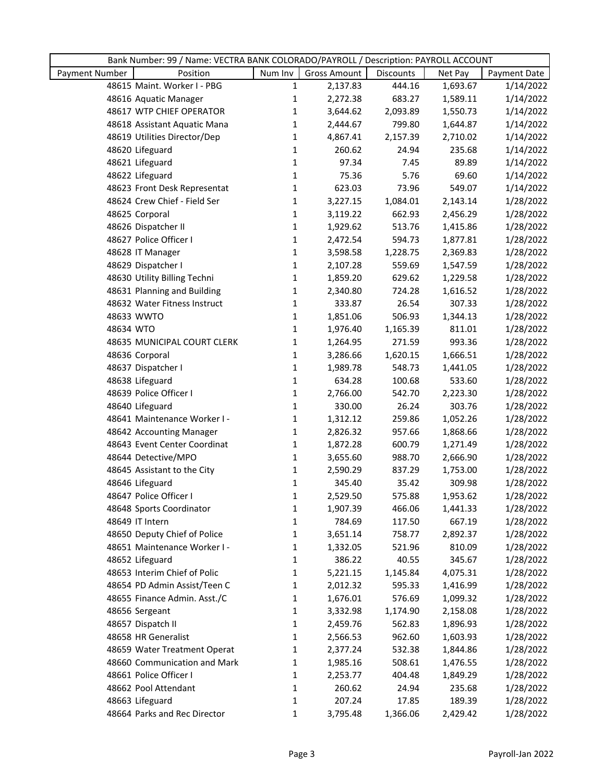|                | Bank Number: 99 / Name: VECTRA BANK COLORADO/PAYROLL / Description: PAYROLL ACCOUNT |              |                     |                  |          |              |
|----------------|-------------------------------------------------------------------------------------|--------------|---------------------|------------------|----------|--------------|
| Payment Number | Position                                                                            | Num Inv      | <b>Gross Amount</b> | <b>Discounts</b> | Net Pay  | Payment Date |
|                | 48615 Maint. Worker I - PBG                                                         | $\mathbf{1}$ | 2,137.83            | 444.16           | 1,693.67 | 1/14/2022    |
|                | 48616 Aquatic Manager                                                               | $\mathbf{1}$ | 2,272.38            | 683.27           | 1,589.11 | 1/14/2022    |
|                | 48617 WTP CHIEF OPERATOR                                                            | $\mathbf{1}$ | 3,644.62            | 2,093.89         | 1,550.73 | 1/14/2022    |
|                | 48618 Assistant Aquatic Mana                                                        | $\mathbf{1}$ | 2,444.67            | 799.80           | 1,644.87 | 1/14/2022    |
|                | 48619 Utilities Director/Dep                                                        | $\mathbf{1}$ | 4,867.41            | 2,157.39         | 2,710.02 | 1/14/2022    |
|                | 48620 Lifeguard                                                                     | 1            | 260.62              | 24.94            | 235.68   | 1/14/2022    |
|                | 48621 Lifeguard                                                                     | $\mathbf{1}$ | 97.34               | 7.45             | 89.89    | 1/14/2022    |
|                | 48622 Lifeguard                                                                     | $\mathbf{1}$ | 75.36               | 5.76             | 69.60    | 1/14/2022    |
|                | 48623 Front Desk Representat                                                        | $\mathbf{1}$ | 623.03              | 73.96            | 549.07   | 1/14/2022    |
|                | 48624 Crew Chief - Field Ser                                                        | $\mathbf{1}$ | 3,227.15            | 1,084.01         | 2,143.14 | 1/28/2022    |
|                | 48625 Corporal                                                                      | $\mathbf{1}$ | 3,119.22            | 662.93           | 2,456.29 | 1/28/2022    |
|                | 48626 Dispatcher II                                                                 | 1            | 1,929.62            | 513.76           | 1,415.86 | 1/28/2022    |
|                | 48627 Police Officer I                                                              | $\mathbf{1}$ | 2,472.54            | 594.73           | 1,877.81 | 1/28/2022    |
|                | 48628 IT Manager                                                                    | $\mathbf{1}$ | 3,598.58            | 1,228.75         | 2,369.83 | 1/28/2022    |
|                | 48629 Dispatcher I                                                                  | $\mathbf{1}$ | 2,107.28            | 559.69           | 1,547.59 | 1/28/2022    |
|                | 48630 Utility Billing Techni                                                        | $\mathbf{1}$ | 1,859.20            | 629.62           | 1,229.58 | 1/28/2022    |
|                | 48631 Planning and Building                                                         | $\mathbf 1$  | 2,340.80            | 724.28           | 1,616.52 | 1/28/2022    |
|                | 48632 Water Fitness Instruct                                                        | 1            | 333.87              | 26.54            | 307.33   | 1/28/2022    |
|                | 48633 WWTO                                                                          | $\mathbf{1}$ | 1,851.06            | 506.93           | 1,344.13 | 1/28/2022    |
| 48634 WTO      |                                                                                     | $\mathbf{1}$ | 1,976.40            | 1,165.39         | 811.01   | 1/28/2022    |
|                | 48635 MUNICIPAL COURT CLERK                                                         | $\mathbf{1}$ | 1,264.95            | 271.59           | 993.36   | 1/28/2022    |
|                | 48636 Corporal                                                                      | $\mathbf{1}$ | 3,286.66            | 1,620.15         | 1,666.51 | 1/28/2022    |
|                | 48637 Dispatcher I                                                                  | $\mathbf{1}$ | 1,989.78            | 548.73           | 1,441.05 | 1/28/2022    |
|                | 48638 Lifeguard                                                                     | $\mathbf{1}$ | 634.28              | 100.68           | 533.60   | 1/28/2022    |
|                | 48639 Police Officer I                                                              | $\mathbf{1}$ | 2,766.00            | 542.70           | 2,223.30 | 1/28/2022    |
|                | 48640 Lifeguard                                                                     | $\mathbf{1}$ | 330.00              | 26.24            | 303.76   | 1/28/2022    |
|                | 48641 Maintenance Worker I -                                                        | $\mathbf{1}$ | 1,312.12            | 259.86           | 1,052.26 | 1/28/2022    |
|                | 48642 Accounting Manager                                                            | $\mathbf{1}$ | 2,826.32            | 957.66           | 1,868.66 | 1/28/2022    |
|                | 48643 Event Center Coordinat                                                        | $\mathbf{1}$ | 1,872.28            | 600.79           | 1,271.49 | 1/28/2022    |
|                | 48644 Detective/MPO                                                                 | $\mathbf{1}$ | 3,655.60            | 988.70           | 2,666.90 | 1/28/2022    |
|                | 48645 Assistant to the City                                                         | 1            | 2,590.29            | 837.29           | 1,753.00 | 1/28/2022    |
|                | 48646 Lifeguard                                                                     | $\mathbf{1}$ | 345.40              | 35.42            | 309.98   | 1/28/2022    |
|                | 48647 Police Officer I                                                              | 1            | 2,529.50            | 575.88           | 1,953.62 | 1/28/2022    |
|                | 48648 Sports Coordinator                                                            | 1            | 1,907.39            | 466.06           | 1,441.33 | 1/28/2022    |
|                | 48649 IT Intern                                                                     | 1            | 784.69              | 117.50           | 667.19   | 1/28/2022    |
|                | 48650 Deputy Chief of Police                                                        | 1            | 3,651.14            | 758.77           | 2,892.37 | 1/28/2022    |
|                | 48651 Maintenance Worker I -                                                        | 1            | 1,332.05            | 521.96           | 810.09   | 1/28/2022    |
|                | 48652 Lifeguard                                                                     | 1            | 386.22              | 40.55            | 345.67   | 1/28/2022    |
|                | 48653 Interim Chief of Polic                                                        | 1            | 5,221.15            | 1,145.84         | 4,075.31 | 1/28/2022    |
|                | 48654 PD Admin Assist/Teen C                                                        | 1            | 2,012.32            | 595.33           | 1,416.99 | 1/28/2022    |
|                | 48655 Finance Admin. Asst./C                                                        | 1            | 1,676.01            | 576.69           | 1,099.32 | 1/28/2022    |
|                | 48656 Sergeant                                                                      | 1            | 3,332.98            | 1,174.90         | 2,158.08 | 1/28/2022    |
|                | 48657 Dispatch II                                                                   | 1            | 2,459.76            | 562.83           | 1,896.93 | 1/28/2022    |
|                | 48658 HR Generalist                                                                 | 1            | 2,566.53            | 962.60           | 1,603.93 | 1/28/2022    |
|                | 48659 Water Treatment Operat                                                        | 1            | 2,377.24            | 532.38           | 1,844.86 | 1/28/2022    |
|                | 48660 Communication and Mark                                                        | 1            | 1,985.16            | 508.61           | 1,476.55 | 1/28/2022    |
|                | 48661 Police Officer I                                                              | 1            | 2,253.77            | 404.48           | 1,849.29 | 1/28/2022    |
|                | 48662 Pool Attendant                                                                | 1            | 260.62              | 24.94            | 235.68   | 1/28/2022    |
|                | 48663 Lifeguard                                                                     | 1            | 207.24              | 17.85            | 189.39   | 1/28/2022    |
|                | 48664 Parks and Rec Director                                                        | 1            | 3,795.48            | 1,366.06         | 2,429.42 | 1/28/2022    |
|                |                                                                                     |              |                     |                  |          |              |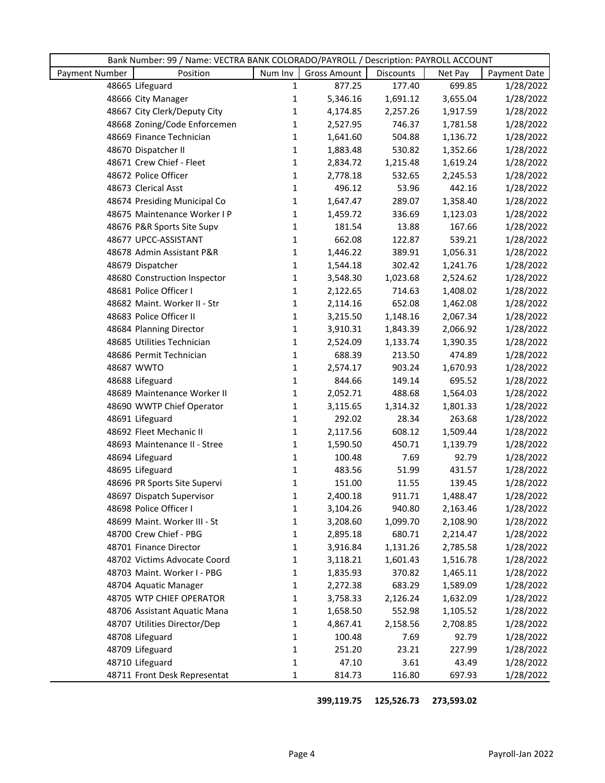|                | Bank Number: 99 / Name: VECTRA BANK COLORADO/PAYROLL / Description: PAYROLL ACCOUNT |              |                     |                    |                      |                        |
|----------------|-------------------------------------------------------------------------------------|--------------|---------------------|--------------------|----------------------|------------------------|
| Payment Number | Position                                                                            | Num Inv      | <b>Gross Amount</b> | Discounts          | Net Pay              | Payment Date           |
|                | 48665 Lifeguard                                                                     | $\mathbf{1}$ | 877.25              | 177.40             | 699.85               | 1/28/2022              |
|                | 48666 City Manager                                                                  | $\mathbf{1}$ | 5,346.16            | 1,691.12           | 3,655.04             | 1/28/2022              |
|                | 48667 City Clerk/Deputy City                                                        | 1            | 4,174.85            | 2,257.26           | 1,917.59             | 1/28/2022              |
|                | 48668 Zoning/Code Enforcemen                                                        | 1            | 2,527.95            | 746.37             | 1,781.58             | 1/28/2022              |
|                | 48669 Finance Technician                                                            | 1            | 1,641.60            | 504.88             | 1,136.72             | 1/28/2022              |
|                | 48670 Dispatcher II                                                                 | $\mathbf{1}$ | 1,883.48            | 530.82             | 1,352.66             | 1/28/2022              |
|                | 48671 Crew Chief - Fleet                                                            | $\mathbf{1}$ | 2,834.72            | 1,215.48           | 1,619.24             | 1/28/2022              |
|                | 48672 Police Officer                                                                | $\mathbf{1}$ | 2,778.18            | 532.65             | 2,245.53             | 1/28/2022              |
|                | 48673 Clerical Asst                                                                 | $\mathbf{1}$ | 496.12              | 53.96              | 442.16               | 1/28/2022              |
|                | 48674 Presiding Municipal Co                                                        | 1            | 1,647.47            | 289.07             | 1,358.40             | 1/28/2022              |
|                | 48675 Maintenance Worker I P                                                        | $\mathbf{1}$ | 1,459.72            | 336.69             | 1,123.03             | 1/28/2022              |
|                | 48676 P&R Sports Site Supv                                                          | $\mathbf{1}$ | 181.54              | 13.88              | 167.66               | 1/28/2022              |
|                | 48677 UPCC-ASSISTANT                                                                | $\mathbf{1}$ | 662.08              | 122.87             | 539.21               | 1/28/2022              |
|                | 48678 Admin Assistant P&R                                                           | $\mathbf{1}$ | 1,446.22            | 389.91             | 1,056.31             | 1/28/2022              |
|                | 48679 Dispatcher                                                                    | $\mathbf{1}$ | 1,544.18            | 302.42             | 1,241.76             | 1/28/2022              |
|                | 48680 Construction Inspector                                                        | 1            | 3,548.30            | 1,023.68           | 2,524.62             | 1/28/2022              |
|                | 48681 Police Officer I                                                              | $\mathbf{1}$ | 2,122.65            | 714.63             | 1,408.02             | 1/28/2022              |
|                | 48682 Maint. Worker II - Str                                                        | $\mathbf{1}$ | 2,114.16            | 652.08             | 1,462.08             | 1/28/2022              |
|                | 48683 Police Officer II                                                             | $\mathbf{1}$ | 3,215.50            | 1,148.16           | 2,067.34             | 1/28/2022              |
|                | 48684 Planning Director                                                             | $\mathbf{1}$ | 3,910.31            | 1,843.39           | 2,066.92             | 1/28/2022              |
|                | 48685 Utilities Technician                                                          | $\mathbf{1}$ | 2,524.09            | 1,133.74           | 1,390.35             | 1/28/2022              |
|                | 48686 Permit Technician                                                             | $\mathbf{1}$ | 688.39              | 213.50             | 474.89               | 1/28/2022              |
|                | 48687 WWTO                                                                          | $\mathbf{1}$ | 2,574.17            | 903.24             | 1,670.93             | 1/28/2022              |
|                | 48688 Lifeguard                                                                     | $\mathbf{1}$ | 844.66              | 149.14             | 695.52               | 1/28/2022              |
|                | 48689 Maintenance Worker II                                                         | $\mathbf{1}$ | 2,052.71            | 488.68             | 1,564.03             | 1/28/2022              |
|                | 48690 WWTP Chief Operator                                                           | $\mathbf{1}$ | 3,115.65            | 1,314.32           | 1,801.33             | 1/28/2022              |
|                | 48691 Lifeguard                                                                     | $\mathbf{1}$ | 292.02              | 28.34              | 263.68               | 1/28/2022              |
|                | 48692 Fleet Mechanic II                                                             | $\mathbf{1}$ | 2,117.56            | 608.12             | 1,509.44             | 1/28/2022              |
|                | 48693 Maintenance II - Stree                                                        | 1            | 1,590.50            | 450.71             | 1,139.79             | 1/28/2022              |
|                | 48694 Lifeguard                                                                     | $\mathbf{1}$ | 100.48              | 7.69               | 92.79                | 1/28/2022              |
|                | 48695 Lifeguard                                                                     | $\mathbf{1}$ | 483.56              | 51.99              | 431.57               | 1/28/2022              |
|                | 48696 PR Sports Site Supervi                                                        | $\mathbf{1}$ | 151.00              | 11.55              | 139.45               | 1/28/2022              |
|                | 48697 Dispatch Supervisor                                                           | 1            | 2,400.18            | 911.71             | 1,488.47             | 1/28/2022              |
|                | 48698 Police Officer I                                                              | 1            | 3,104.26            | 940.80             | 2,163.46             | 1/28/2022              |
|                | 48699 Maint. Worker III - St                                                        | 1            | 3,208.60            | 1,099.70           | 2,108.90             | 1/28/2022              |
|                | 48700 Crew Chief - PBG                                                              | 1            | 2,895.18            | 680.71             | 2,214.47             | 1/28/2022              |
|                | 48701 Finance Director                                                              | 1            | 3,916.84            | 1,131.26           | 2,785.58             | 1/28/2022              |
|                | 48702 Victims Advocate Coord                                                        | 1            | 3,118.21            | 1,601.43           | 1,516.78             | 1/28/2022              |
|                | 48703 Maint. Worker I - PBG                                                         | 1            | 1,835.93            | 370.82             | 1,465.11             | 1/28/2022              |
|                | 48704 Aquatic Manager                                                               | 1            | 2,272.38            | 683.29             | 1,589.09             | 1/28/2022              |
|                | 48705 WTP CHIEF OPERATOR                                                            | 1            | 3,758.33            | 2,126.24           | 1,632.09             | 1/28/2022              |
|                | 48706 Assistant Aquatic Mana<br>48707 Utilities Director/Dep                        | 1            | 1,658.50            | 552.98<br>2,158.56 | 1,105.52<br>2,708.85 | 1/28/2022              |
|                | 48708 Lifeguard                                                                     | 1<br>1       | 4,867.41<br>100.48  | 7.69               | 92.79                | 1/28/2022              |
|                |                                                                                     |              |                     |                    |                      | 1/28/2022              |
|                | 48709 Lifeguard<br>48710 Lifeguard                                                  | 1<br>1       | 251.20<br>47.10     | 23.21<br>3.61      | 227.99<br>43.49      | 1/28/2022<br>1/28/2022 |
|                |                                                                                     |              |                     |                    |                      |                        |
|                | 48711 Front Desk Representat                                                        | 1            | 814.73              | 116.80             | 697.93               | 1/28/2022              |

 **399,119.75 125,526.73 273,593.02**